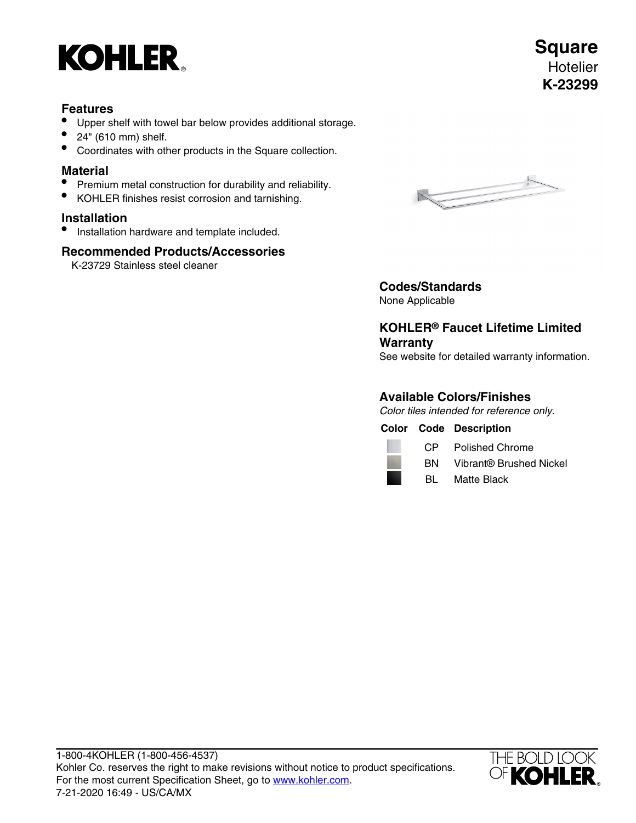

## **Features**

- Upper shelf with towel bar below provides additional storage.
- 24" (610 mm) shelf.
- Coordinates with other products in the Square collection.

## **Material**

- Premium metal construction for durability and reliability.
- KOHLER finishes resist corrosion and tarnishing.

## **Installation**

• Installation hardware and template included.

## **Recommended Products/Accessories**

K-23729 Stainless steel cleaner



# **Codes/Standards**

None Applicable

# **KOHLER® Faucet Lifetime Limited Warranty**

See website for detailed warranty information.

## **Available Colors/Finishes**

Color tiles intended for reference only.

|  | <b>Color Code Description</b> |
|--|-------------------------------|
|  |                               |

| CP | <b>Polished Chrome</b> |  |
|----|------------------------|--|
|    | $\sim$ $\sim$          |  |

- BN Vibrant® Brushed Nickel
- BL Matte Black



**Square Hotelier K-23299**